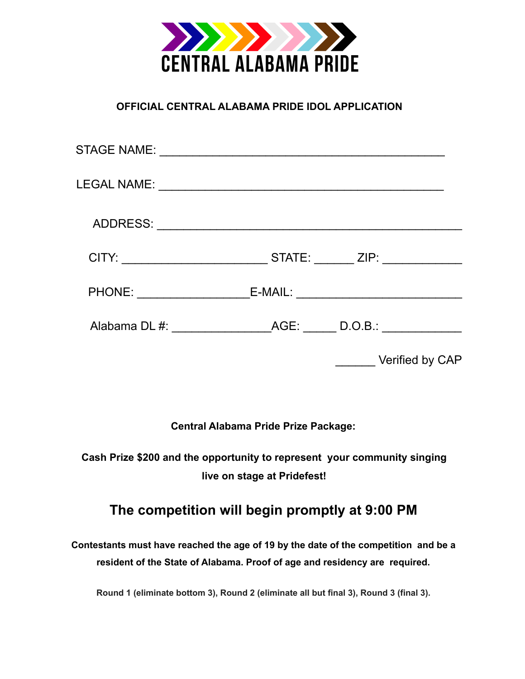

### **OFFICIAL CENTRAL ALABAMA PRIDE IDOL APPLICATION**

| Alabama DL #: AGE: D.O.B.: |
|----------------------------|
| Verified by CAP            |

**Central Alabama Pride Prize Package:**

**Cash Prize \$200 and the opportunity to represent your community singing live on stage at Pridefest!**

## **The competition will begin promptly at 9:00 PM**

**Contestants must have reached the age of 19 by the date of the competition and be a resident of the State of Alabama. Proof of age and residency are required.**

**Round 1 (eliminate bottom 3), Round 2 (eliminate all but final 3), Round 3 (final 3).**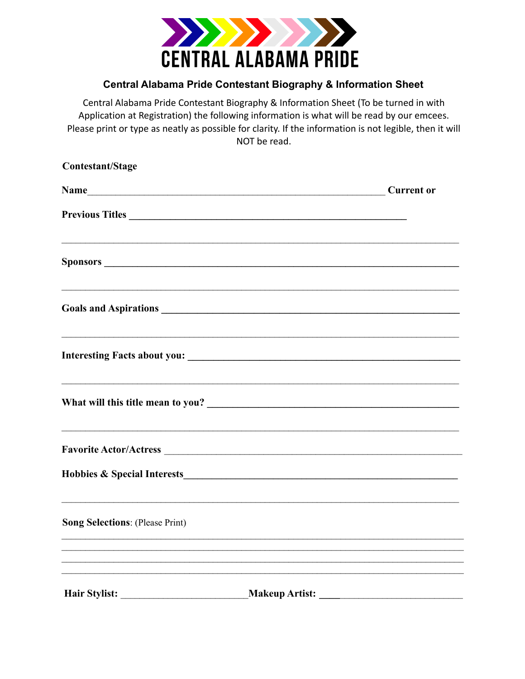

### **Central Alabama Pride Contestant Biography & Information Sheet**

Central Alabama Pride Contestant Biography & Information Sheet (To be turned in with Application at Registration) the following information is what will be read by our emcees. Please print or type as neatly as possible for clarity. If the information is not legible, then it will NOT be read.

| Contestant/Stage                       |                       |
|----------------------------------------|-----------------------|
|                                        | <b>Current or</b>     |
| Previous Titles                        |                       |
|                                        |                       |
|                                        |                       |
|                                        |                       |
|                                        |                       |
|                                        |                       |
|                                        |                       |
| <b>Song Selections: (Please Print)</b> |                       |
|                                        |                       |
| <b>Hair Stylist:</b>                   | <b>Makeup Artist:</b> |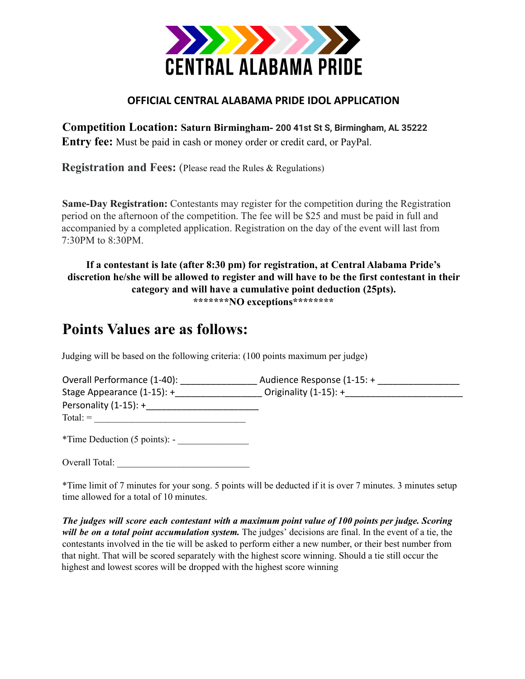

### **OFFICIAL CENTRAL ALABAMA PRIDE IDOL APPLICATION**

**Competition Location: Saturn Birmingham- 200 41st St S, Birmingham, AL 35222 Entry fee:** Must be paid in cash or money order or credit card, or PayPal.

**Registration and Fees:** (Please read the Rules & Regulations)

**Same-Day Registration:** Contestants may register for the competition during the Registration period on the afternoon of the competition. The fee will be \$25 and must be paid in full and accompanied by a completed application. Registration on the day of the event will last from 7:30PM to 8:30PM.

### **If a contestant is late (after 8:30 pm) for registration, at Central Alabama Pride's discretion he/she will be allowed to register and will have to be the first contestant in their category and will have a cumulative point deduction (25pts). \*\*\*\*\*\*\*NO exceptions\*\*\*\*\*\*\*\***

# **Points Values are as follows:**

Judging will be based on the following criteria: (100 points maximum per judge)

| Overall Performance (1-40):   | Audience Response (1-15: + |
|-------------------------------|----------------------------|
| Stage Appearance $(1-15)$ : + | Originality $(1-15)$ : +   |
| Personality $(1-15)$ : +      |                            |
| $Total: =$                    |                            |
| $\sim$ $\sim$                 |                            |

\*Time Deduction (5 points): - \_\_\_\_\_\_\_\_\_\_\_\_\_\_\_

Overall Total:

\*Time limit of 7 minutes for your song. 5 points will be deducted if it is over 7 minutes. 3 minutes setup time allowed for a total of 10 minutes.

*The judges will score each contestant with a maximum point value of 100 points per judge. Scoring will be on a total point accumulation system.* The judges' decisions are final. In the event of a tie, the contestants involved in the tie will be asked to perform either a new number, or their best number from that night. That will be scored separately with the highest score winning. Should a tie still occur the highest and lowest scores will be dropped with the highest score winning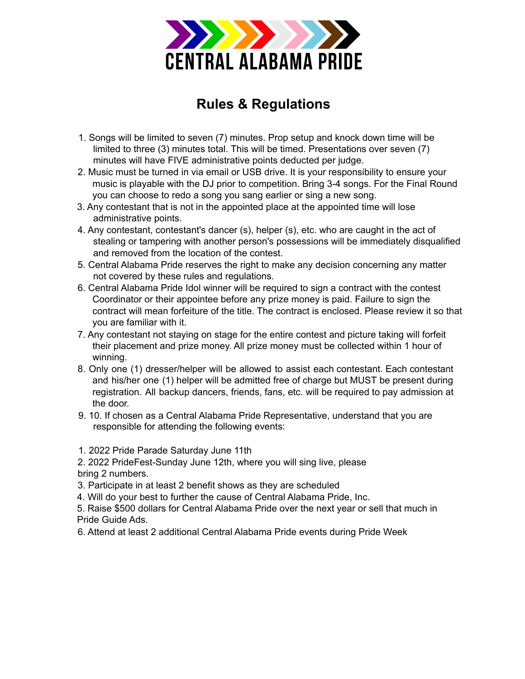

# **Rules & Regulations**

- 1. Songs will be limited to seven (7) minutes. Prop setup and knock down time will be limited to three (3) minutes total. This will be timed. Presentations over seven (7) minutes will have FIVE administrative points deducted per judge.
- 2. Music must be turned in via email or USB drive. It is your responsibility to ensure your music is playable with the DJ prior to competition. Bring 3-4 songs. For the Final Round you can choose to redo a song you sang earlier or sing a new song.
- 3. Any contestant that is not in the appointed place at the appointed time will lose administrative points.
- 4. Any contestant, contestant's dancer (s), helper (s), etc. who are caught in the act of stealing or tampering with another person's possessions will be immediately disqualified and removed from the location of the contest.
- 5. Central Alabama Pride reserves the right to make any decision concerning any matter not covered by these rules and regulations.
- 6. Central Alabama Pride Idol winner will be required to sign a contract with the contest Coordinator or their appointee before any prize money is paid. Failure to sign the contract will mean forfeiture of the title. The contract is enclosed. Please review it so that you are familiar with it.
- 7. Any contestant not staying on stage for the entire contest and picture taking will forfeit their placement and prize money. All prize money must be collected within 1 hour of winning.
- 8. Only one (1) dresser/helper will be allowed to assist each contestant. Each contestant and his/her one (1) helper will be admitted free of charge but MUST be present during registration. All backup dancers, friends, fans, etc. will be required to pay admission at the door.
- 9. 10. If chosen as a Central Alabama Pride Representative, understand that you are responsible for attending the following events:
- 1. 2022 Pride Parade Saturday June 11th

2. 2022 PrideFest-Sunday June 12th, where you will sing live, please bring 2 numbers.

- 3. Participate in at least 2 benefit shows as they are scheduled
- 4. Will do your best to further the cause of Central Alabama Pride, Inc.
- 5. Raise \$500 dollars for Central Alabama Pride over the next year or sell that much in Pride Guide Ads.
- 6. Attend at least 2 additional Central Alabama Pride events during Pride Week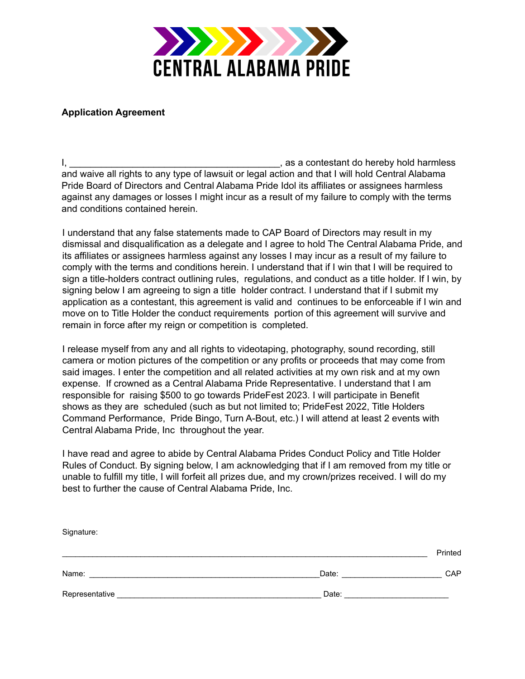

#### **Application Agreement**

I, \_\_\_\_\_\_\_\_\_\_\_\_\_\_\_\_\_\_\_\_\_\_\_\_\_\_\_\_\_\_\_\_\_\_\_\_\_\_\_\_, as a contestant do hereby hold harmless and waive all rights to any type of lawsuit or legal action and that I will hold Central Alabama Pride Board of Directors and Central Alabama Pride Idol its affiliates or assignees harmless against any damages or losses I might incur as a result of my failure to comply with the terms and conditions contained herein.

I understand that any false statements made to CAP Board of Directors may result in my dismissal and disqualification as a delegate and I agree to hold The Central Alabama Pride, and its affiliates or assignees harmless against any losses I may incur as a result of my failure to comply with the terms and conditions herein. I understand that if I win that I will be required to sign a title-holders contract outlining rules, regulations, and conduct as a title holder. If I win, by signing below I am agreeing to sign a title holder contract. I understand that if I submit my application as a contestant, this agreement is valid and continues to be enforceable if I win and move on to Title Holder the conduct requirements portion of this agreement will survive and remain in force after my reign or competition is completed.

I release myself from any and all rights to videotaping, photography, sound recording, still camera or motion pictures of the competition or any profits or proceeds that may come from said images. I enter the competition and all related activities at my own risk and at my own expense. If crowned as a Central Alabama Pride Representative. I understand that I am responsible for raising \$500 to go towards PrideFest 2023. I will participate in Benefit shows as they are scheduled (such as but not limited to; PrideFest 2022, Title Holders Command Performance, Pride Bingo, Turn A-Bout, etc.) I will attend at least 2 events with Central Alabama Pride, Inc throughout the year.

I have read and agree to abide by Central Alabama Prides Conduct Policy and Title Holder Rules of Conduct. By signing below, I am acknowledging that if I am removed from my title or unable to fulfill my title, I will forfeit all prizes due, and my crown/prizes received. I will do my best to further the cause of Central Alabama Pride, Inc.

| Signature: |       |         |
|------------|-------|---------|
|            |       | Printed |
| Name:      | Date: | CAP     |
|            | Date: |         |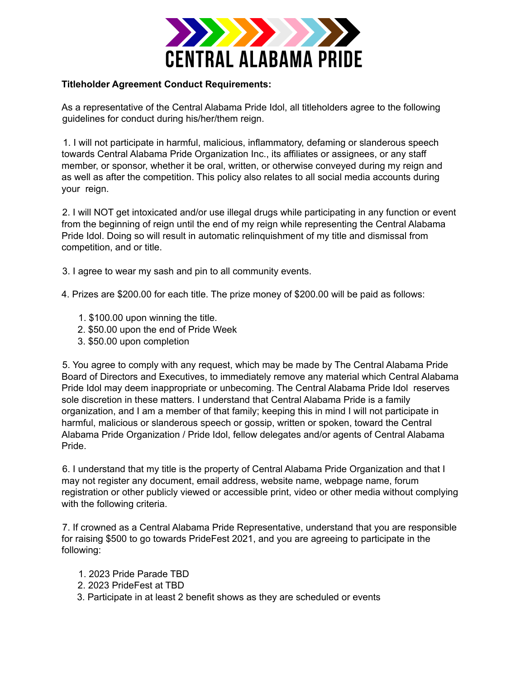

#### **Titleholder Agreement Conduct Requirements:**

As a representative of the Central Alabama Pride Idol, all titleholders agree to the following guidelines for conduct during his/her/them reign.

1. I will not participate in harmful, malicious, inflammatory, defaming or slanderous speech towards Central Alabama Pride Organization Inc., its affiliates or assignees, or any staff member, or sponsor, whether it be oral, written, or otherwise conveyed during my reign and as well as after the competition. This policy also relates to all social media accounts during your reign.

2. I will NOT get intoxicated and/or use illegal drugs while participating in any function or event from the beginning of reign until the end of my reign while representing the Central Alabama Pride Idol. Doing so will result in automatic relinquishment of my title and dismissal from competition, and or title.

3. I agree to wear my sash and pin to all community events.

4. Prizes are \$200.00 for each title. The prize money of \$200.00 will be paid as follows:

- 1. \$100.00 upon winning the title.
- 2. \$50.00 upon the end of Pride Week
- 3. \$50.00 upon completion

5. You agree to comply with any request, which may be made by The Central Alabama Pride Board of Directors and Executives, to immediately remove any material which Central Alabama Pride Idol may deem inappropriate or unbecoming. The Central Alabama Pride Idol reserves sole discretion in these matters. I understand that Central Alabama Pride is a family organization, and I am a member of that family; keeping this in mind I will not participate in harmful, malicious or slanderous speech or gossip, written or spoken, toward the Central Alabama Pride Organization / Pride Idol, fellow delegates and/or agents of Central Alabama Pride.

6. I understand that my title is the property of Central Alabama Pride Organization and that I may not register any document, email address, website name, webpage name, forum registration or other publicly viewed or accessible print, video or other media without complying with the following criteria.

7. If crowned as a Central Alabama Pride Representative, understand that you are responsible for raising \$500 to go towards PrideFest 2021, and you are agreeing to participate in the following:

- 1. 2023 Pride Parade TBD
- 2. 2023 PrideFest at TBD
- 3. Participate in at least 2 benefit shows as they are scheduled or events